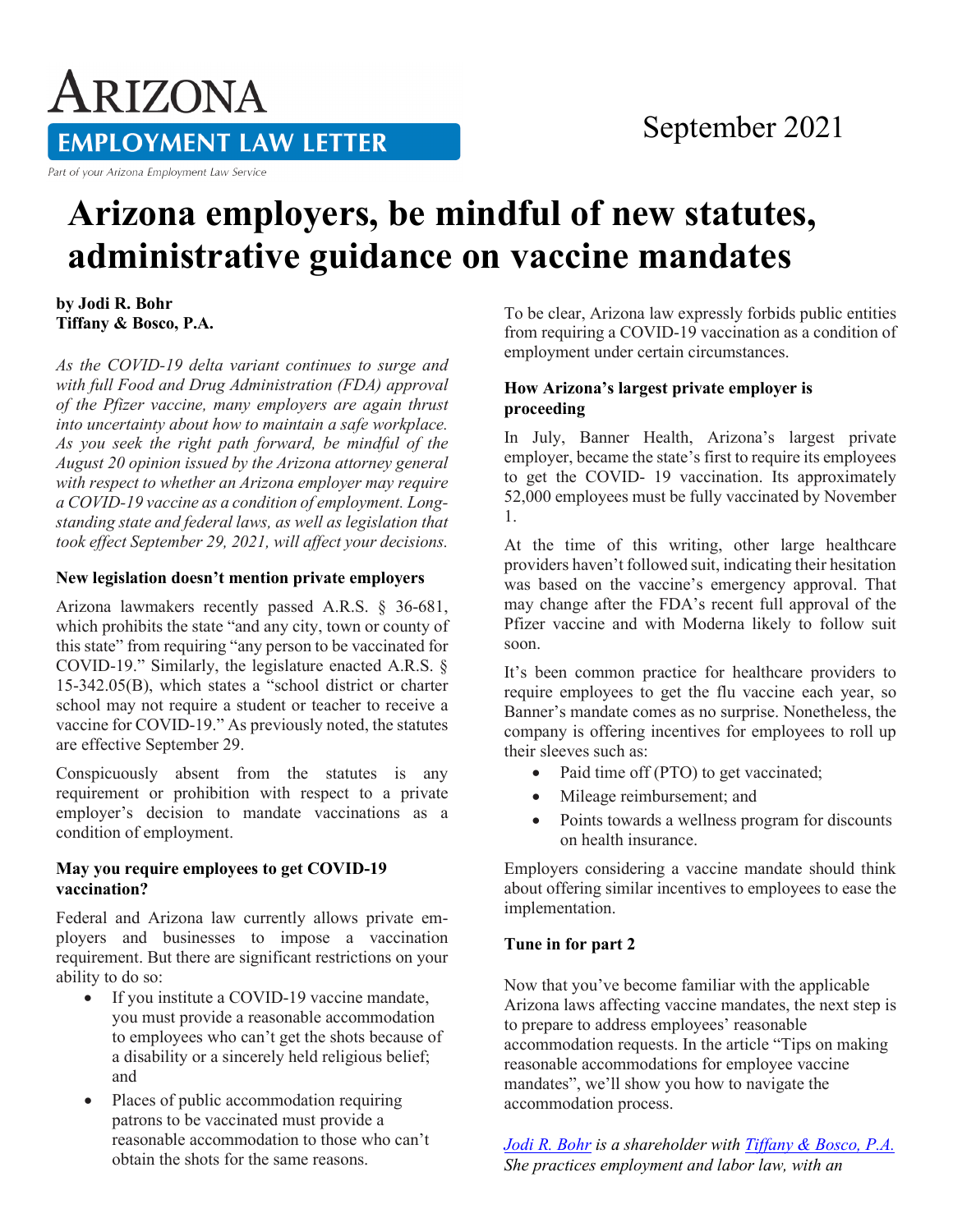# ARIZONA **EMPLOYMENT LAW LETTER**

Part of your Arizona Employment Law Service

# **Arizona employers, be mindful of new statutes, administrative guidance on vaccine mandates**

**by Jodi R. Bohr Tiffany & Bosco, P.A.** 

*As the COVID-19 delta variant continues to surge and with full Food and Drug Administration (FDA) approval of the Pfizer vaccine, many employers are again thrust into uncertainty about how to maintain a safe workplace. As you seek the right path forward, be mindful of the August 20 opinion issued by the Arizona attorney general with respect to whether an Arizona employer may require a COVID-19 vaccine as a condition of employment. Longstanding state and federal laws, as well as legislation that took effect September 29, 2021, will affect your decisions.* 

#### **New legislation doesn't mention private employers**

Arizona lawmakers recently passed A.R.S. § 36-681, which prohibits the state "and any city, town or county of this state" from requiring "any person to be vaccinated for COVID-19." Similarly, the legislature enacted A.R.S. § 15-342.05(B), which states a "school district or charter school may not require a student or teacher to receive a vaccine for COVID-19." As previously noted, the statutes are effective September 29.

Conspicuously absent from the statutes is any requirement or prohibition with respect to a private employer's decision to mandate vaccinations as a condition of employment.

### **May you require employees to get COVID-19 vaccination?**

Federal and Arizona law currently allows private employers and businesses to impose a vaccination requirement. But there are significant restrictions on your ability to do so:

- If you institute a COVID-19 vaccine mandate, you must provide a reasonable accommodation to employees who can't get the shots because of a disability or a sincerely held religious belief; and
- Places of public accommodation requiring patrons to be vaccinated must provide a reasonable accommodation to those who can't obtain the shots for the same reasons.

To be clear, Arizona law expressly forbids public entities from requiring a COVID-19 vaccination as a condition of employment under certain circumstances.

## **How Arizona's largest private employer is proceeding**

In July, Banner Health, Arizona's largest private employer, became the state's first to require its employees to get the COVID- 19 vaccination. Its approximately 52,000 employees must be fully vaccinated by November 1.

At the time of this writing, other large healthcare providers haven't followed suit, indicating their hesitation was based on the vaccine's emergency approval. That may change after the FDA's recent full approval of the Pfizer vaccine and with Moderna likely to follow suit soon.

It's been common practice for healthcare providers to require employees to get the flu vaccine each year, so Banner's mandate comes as no surprise. Nonetheless, the company is offering incentives for employees to roll up their sleeves such as:

- Paid time off (PTO) to get vaccinated;
- Mileage reimbursement; and
- Points towards a wellness program for discounts on health insurance.

Employers considering a vaccine mandate should think about offering similar incentives to employees to ease the implementation.

#### **Tune in for part 2**

Now that you've become familiar with the applicable Arizona laws affecting vaccine mandates, the next step is to prepare to address employees' reasonable accommodation requests. In the article "Tips on making reasonable accommodations for employee vaccine mandates", we'll show you how to navigate the accommodation process.

*[Jodi R. Bohr](http://www.employerscounsel.net/lawyer/jodi-r-bohr/#lawyerdiv) is a shareholder with [Tiffany & Bosco, P.A.](https://www.tblaw.com/) She practices employment and labor law, with an*